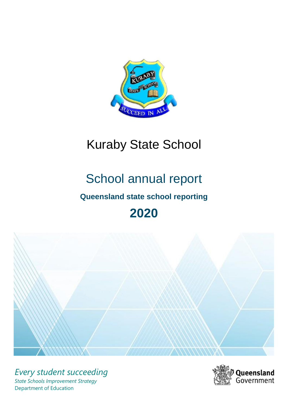

# Kuraby State School

# School annual report

# **Queensland state school reporting**

# **2020**



*Every student succeeding State Schools Improvement Strategy* Department of Education

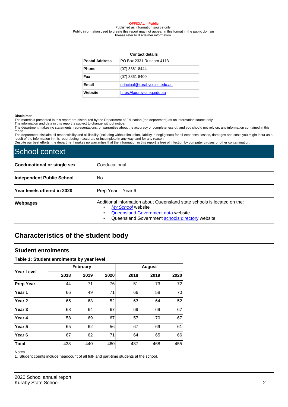#### **OFFICIAL – Public**

Published as information source only. Public information used to create this report may not appear in this format in the public domain Please refer to disclaimer information.

| <b>Contact details</b> |                              |  |  |  |  |  |  |
|------------------------|------------------------------|--|--|--|--|--|--|
| <b>Postal Address</b>  | PO Box 2331 Runcorn 4113     |  |  |  |  |  |  |
| <b>Phone</b>           | (07) 3361 8444               |  |  |  |  |  |  |
| Fax                    | $(07)$ 3361 8400             |  |  |  |  |  |  |
| Email                  | principal@kurabyss.eq.edu.au |  |  |  |  |  |  |
| Website                | https://kurabyss.eg.edu.au   |  |  |  |  |  |  |

#### **Disclaimer**

The materials presented in this report are distributed by the Department of Education (the department) as an information source only.

The information and data in this report is subject to change without notice.

The department makes no statements, representations, or warranties about the accuracy or completeness of, and you should not rely on, any information contained in this report.

The department disclaim all responsibility and all liability (including without limitation, liability in negligence) for all expenses, losses, damages and costs you might incur as a<br>result of the information in this report

| School context                     |                                                                                                                                                                                         |
|------------------------------------|-----------------------------------------------------------------------------------------------------------------------------------------------------------------------------------------|
| <b>Coeducational or single sex</b> | Coeducational                                                                                                                                                                           |
| <b>Independent Public School</b>   | No.                                                                                                                                                                                     |
| Year levels offered in 2020        | Prep Year - Year 6                                                                                                                                                                      |
| Webpages                           | Additional information about Queensland state schools is located on the:<br>My School website<br>Queensland Government data website<br>Queensland Government schools directory website. |

# **Characteristics of the student body**

## **Student enrolments**

#### **Table 1: Student enrolments by year level**

|                   |      | <b>February</b> |      |      | <b>August</b> |      |
|-------------------|------|-----------------|------|------|---------------|------|
| <b>Year Level</b> | 2018 | 2019            | 2020 | 2018 | 2019          | 2020 |
| <b>Prep Year</b>  | 44   | 71              | 76   | 51   | 73            | 72   |
| Year 1            | 66   | 49              | 71   | 66   | 58            | 70   |
| Year <sub>2</sub> | 65   | 63              | 52   | 63   | 64            | 52   |
| Year 3            | 68   | 64              | 67   | 69   | 69            | 67   |
| Year 4            | 58   | 69              | 67   | 57   | 70            | 67   |
| Year 5            | 65   | 62              | 56   | 67   | 69            | 61   |
| Year <sub>6</sub> | 67   | 62              | 71   | 64   | 65            | 66   |
| <b>Total</b>      | 433  | 440             | 460  | 437  | 468           | 455  |

Notes

1. Student counts include headcount of all full- and part-time students at the school.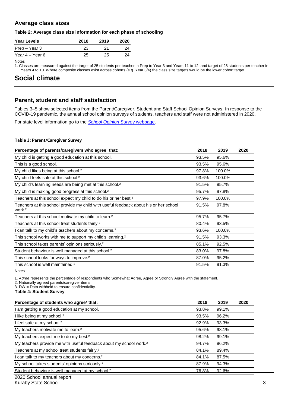## **Average class sizes**

### **Table 2: Average class size information for each phase of schooling**

| <b>Year Levels</b> | 2018 | 2019 | 2020 |
|--------------------|------|------|------|
| Prep – Year 3      | 23   |      | 24   |
| Year 4 – Year 6    | 25   | 25   | 24   |

Notes

1. Classes are measured against the target of 25 students per teacher in Prep to Year 3 and Years 11 to 12, and target of 28 students per teacher in Years 4 to 10. Where composite classes exist across cohorts (e.g. Year 3/4) the class size targets would be the lower cohort target.

# **Social climate**

## **Parent, student and staff satisfaction**

Tables 3–5 show selected items from the Parent/Caregiver, Student and Staff School Opinion Surveys. In response to the COVID-19 pandemic, the annual school opinion surveys of students, teachers and staff were not administered in 2020.

For state level information go to the *[School Opinion Survey](https://qed.qld.gov.au/publications/reports/statistics/schooling/schools/schoolopinionsurvey)* [webpage.](https://qed.qld.gov.au/publications/reports/statistics/schooling/schools/schoolopinionsurvey)

### **Table 3: Parent/Caregiver Survey**

| Percentage of parents/caregivers who agree <sup>1</sup> that:                                               | 2018  | 2019   | 2020 |
|-------------------------------------------------------------------------------------------------------------|-------|--------|------|
| My child is getting a good education at this school.                                                        | 93.5% | 95.6%  |      |
| This is a good school.                                                                                      | 93.5% | 95.6%  |      |
| My child likes being at this school. <sup>2</sup>                                                           | 97.8% | 100.0% |      |
| My child feels safe at this school. <sup>2</sup>                                                            | 93.6% | 100.0% |      |
| My child's learning needs are being met at this school. <sup>2</sup>                                        | 91.5% | 95.7%  |      |
| My child is making good progress at this school. <sup>2</sup>                                               | 95.7% | 97.8%  |      |
| Teachers at this school expect my child to do his or her best. <sup>2</sup>                                 | 97.9% | 100.0% |      |
| Teachers at this school provide my child with useful feedback about his or her school<br>work. <sup>2</sup> | 91.5% | 97.8%  |      |
| Teachers at this school motivate my child to learn. <sup>2</sup>                                            | 95.7% | 95.7%  |      |
| Teachers at this school treat students fairly. <sup>2</sup>                                                 | 80.4% | 93.5%  |      |
| I can talk to my child's teachers about my concerns. <sup>2</sup>                                           | 93.6% | 100.0% |      |
| This school works with me to support my child's learning. <sup>2</sup>                                      | 91.5% | 93.3%  |      |
| This school takes parents' opinions seriously. <sup>2</sup>                                                 | 85.1% | 92.5%  |      |
| Student behaviour is well managed at this school. <sup>2</sup>                                              | 83.0% | 97.8%  |      |
| This school looks for ways to improve. <sup>2</sup>                                                         | 87.0% | 95.2%  |      |
| This school is well maintained. <sup>2</sup>                                                                | 91.5% | 91.3%  |      |

Notes

1. *Agree* represents the percentage of respondents who Somewhat Agree, Agree or Strongly Agree with the statement.

2. Nationally agreed parents/caregiver items.

3. DW = Data withheld to ensure confidentiality.

**Table 4: Student Survey**

| Percentage of students who agree <sup>1</sup> that:                            | 2018  | 2019  | 2020 |
|--------------------------------------------------------------------------------|-------|-------|------|
| I am getting a good education at my school.                                    | 93.8% | 99.1% |      |
| I like being at my school. <sup>2</sup>                                        | 93.5% | 96.2% |      |
| I feel safe at my school. <sup>2</sup>                                         | 92.9% | 93.3% |      |
| My teachers motivate me to learn. <sup>2</sup>                                 | 95.6% | 98.1% |      |
| My teachers expect me to do my best. <sup>2</sup>                              | 98.2% | 99.1% |      |
| My teachers provide me with useful feedback about my school work. <sup>2</sup> | 94.7% | 96.2% |      |
| Teachers at my school treat students fairly. <sup>2</sup>                      | 84.1% | 89.4% |      |
| I can talk to my teachers about my concerns. <sup>2</sup>                      | 84.1% | 87.5% |      |
| My school takes students' opinions seriously. <sup>2</sup>                     | 87.9% | 94.3% |      |
| Student behaviour is well managed at my school. <sup>2</sup>                   | 76.8% | 92.6% |      |
|                                                                                |       |       |      |

2020 School annual report **Kuraby State School** 3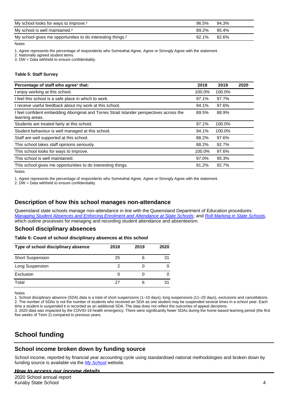| My school looks for ways to improve. <sup>2</sup>                       | 96.5% | 94.3% |
|-------------------------------------------------------------------------|-------|-------|
| My school is well maintained. <sup>2</sup>                              | 89.2% | 95.4% |
| My school gives me opportunities to do interesting things. <sup>2</sup> | 92.1% | 92.6% |

Notes

1. *Agree* represents the percentage of respondents who Somewhat Agree, Agree or Strongly Agree with the statement.

2. Nationally agreed student items.

3. DW = Data withheld to ensure confidentiality.

#### **Table 5: Staff Survey**

| Percentage of staff who agree <sup>1</sup> that:                                                            | 2018   | 2019   | 2020 |
|-------------------------------------------------------------------------------------------------------------|--------|--------|------|
| I enjoy working at this school.                                                                             | 100.0% | 100.0% |      |
| I feel this school is a safe place in which to work.                                                        | 97.1%  | 97.7%  |      |
| I receive useful feedback about my work at this school.                                                     | 94.1%  | 97.6%  |      |
| I feel confident embedding Aboriginal and Torres Strait Islander perspectives across the<br>learning areas. | 89.5%  | 88.9%  |      |
| Students are treated fairly at this school.                                                                 | 97.1%  | 100.0% |      |
| Student behaviour is well managed at this school.                                                           | 94.1%  | 100.0% |      |
| Staff are well supported at this school.                                                                    | 88.2%  | 97.6%  |      |
| This school takes staff opinions seriously.                                                                 | 88.2%  | 92.7%  |      |
| This school looks for ways to improve.                                                                      | 100.0% | 97.6%  |      |
| This school is well maintained.                                                                             | 97.0%  | 95.3%  |      |
| This school gives me opportunities to do interesting things.                                                | 91.2%  | 92.7%  |      |

Notes

1. *Agree* represents the percentage of respondents who Somewhat Agree, Agree or Strongly Agree with the statement.

2. DW = Data withheld to ensure confidentiality.

## **Description of how this school manages non-attendance**

Queensland state schools manage non-attendance in line with the Queensland Department of Education procedures: *[Managing Student Absences and Enforcing Enrolment and Attendance at State Schools](https://ppr.qed.qld.gov.au/pp/managing-student-absences-and-enforcing-enrolment-and-attendance-at-state-schools-procedure)*; and *[Roll Marking in State Schools,](https://ppr.qed.qld.gov.au/pp/roll-marking-in-state-schools-procedure)* which outline processes for managing and recording student attendance and absenteeism.

## **School disciplinary absences**

#### **Table 6: Count of school disciplinary absences at this school**

| Type of school disciplinary absence | 2018 | 2019 | 2020 |
|-------------------------------------|------|------|------|
| <b>Short Suspension</b>             | 25   |      | 31   |
| Long Suspension                     |      |      |      |
| Exclusion                           |      |      |      |
| Total                               |      |      |      |

Notes

1. School disciplinary absence (SDA) data is a total of short suspensions (1–10 days), long suspensions (11–20 days), exclusions and cancellations. 2. The number of SDAs is not the number of students who received an SDA as one student may be suspended several times in a school year. Each time a student is suspended it is recorded as an additional SDA. The data does not reflect the outcomes of appeal decisions.

3. 2020 data was impacted by the COVID-19 health emergency. There were significantly fewer SDAs during the home-based learning period (the first five weeks of Term 2) compared to previous years.

# **School funding**

## **School income broken down by funding source**

School income, reported by financial year accounting cycle using standardised national methodologies and broken down by funding source is available via the *[My School](http://www.myschool.edu.au/)* website.

### *How to access our income details*

2020 School annual report Kuraby State School **4** and  $\overline{a}$  4 and  $\overline{a}$  4 and  $\overline{a}$  4 and  $\overline{a}$  4 and  $\overline{a}$  4 and  $\overline{a}$  4 and  $\overline{a}$  4 and  $\overline{a}$  4 and  $\overline{a}$  4 and  $\overline{a}$  4 and  $\overline{a}$  4 and  $\overline{a}$  4 and  $\overline{a}$  4 and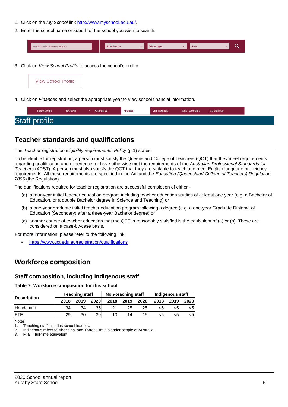- 1. Click on the *My School* link [http://www.myschool.edu.au/.](http://www.myschool.edu.au/)
- 2. Enter the school name or suburb of the school you wish to search.

| Search by school name or suburb | <b>School sector</b> | <b>School type</b> | <b>State</b> |  |  |
|---------------------------------|----------------------|--------------------|--------------|--|--|
|                                 |                      |                    |              |  |  |

3. Click on *View School Profile* to access the school's profile.



4. Click on *Finances* and select the appropriate year to view school financial information.

# **Teacher standards and qualifications**

The *Teacher registration eligibility requirements: Policy* (p.1) states:

To be eligible for registration, a person must satisfy the Queensland College of Teachers (QCT) that they meet requirements regarding qualification and experience, or have otherwise met the requirements of the *Australian Professional Standards for Teachers* (APST). A person must also satisfy the QCT that they are suitable to teach and meet English language proficiency requirements. All these requirements are specified in the Act and the *Education (Queensland College of Teachers) Regulation 2005* (the Regulation).

The qualifications required for teacher registration are successful completion of either -

- (a) a four-year initial teacher education program including teacher education studies of at least one year (e.g. a Bachelor of Education, or a double Bachelor degree in Science and Teaching) or
- (b) a one-year graduate initial teacher education program following a degree (e.g. a one-year Graduate Diploma of Education (Secondary) after a three-year Bachelor degree) or
- (c) another course of teacher education that the QCT is reasonably satisfied is the equivalent of (a) or (b). These are considered on a case-by-case basis.

For more information, please refer to the following link:

• <https://www.qct.edu.au/registration/qualifications>

## **Workforce composition**

## **Staff composition, including Indigenous staff**

**Table 7: Workforce composition for this school**

| <b>Description</b> |      | <b>Teaching staff</b> |      |      | Non-teaching staff |                 | Indigenous staff |      |      |
|--------------------|------|-----------------------|------|------|--------------------|-----------------|------------------|------|------|
|                    | 2018 | 2019                  | 2020 | 2018 | 2019               | 2020            | 2018             | 2019 | 2020 |
| Headcount          | 34   | 34                    | 36   | 21   | 25                 | 25              | כ>               |      | <5   |
| <b>FTE</b>         | 29   | 30                    | 30   | 13   | 14                 | 15 <sup>1</sup> |                  |      | <5   |

Notes

1. Teaching staff includes school leaders.<br>2. Indigenous refers to Aboriginal and Tor

2. Indigenous refers to Aboriginal and Torres Strait Islander people of Australia.

3.  $FTE = full-time equivalent$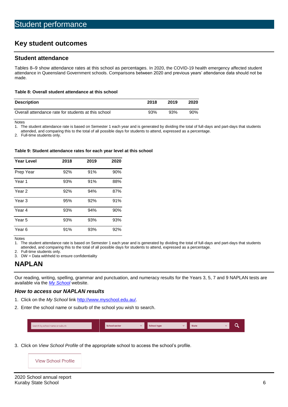# **Key student outcomes**

### **Student attendance**

Tables 8–9 show attendance rates at this school as percentages. In 2020, the COVID-19 health emergency affected student attendance in Queensland Government schools. Comparisons between 2020 and previous years' attendance data should not be made.

#### **Table 8: Overall student attendance at this school**

| <b>Description</b>                                  | 2018 | 2019 | 2020 |
|-----------------------------------------------------|------|------|------|
| Overall attendance rate for students at this school | 93%  | 93%  | 90%  |

Notes

1. The student attendance rate is based on Semester 1 each year and is generated by dividing the total of full-days and part-days that students

attended, and comparing this to the total of all possible days for students to attend, expressed as a percentage.

2. Full-time students only.

#### **Table 9: Student attendance rates for each year level at this school**

| <b>Year Level</b> | 2018 | 2019 | 2020 |
|-------------------|------|------|------|
| Prep Year         | 92%  | 91%  | 90%  |
| Year 1            | 93%  | 91%  | 88%  |
| Year 2            | 92%  | 94%  | 87%  |
| Year <sub>3</sub> | 95%  | 92%  | 91%  |
| Year 4            | 93%  | 94%  | 90%  |
| Year 5            | 93%  | 93%  | 93%  |
| Year <sub>6</sub> | 91%  | 93%  | 92%  |

Notes

1. The student attendance rate is based on Semester 1 each year and is generated by dividing the total of full-days and part-days that students attended, and comparing this to the total of all possible days for students to attend, expressed as a percentage.

- 
- 2. Full-time students only.<br>3. DW = Data withheld to  $DW = Data$  withheld to ensure confidentiality

## **NAPLAN**

Our reading, writing, spelling, grammar and punctuation, and numeracy results for the Years 3, 5, 7 and 9 NAPLAN tests are available via the *[My School](http://www.myschool.edu.au/)* website.

### *How to access our NAPLAN results*

- 1. Click on the *My School* link [http://www.myschool.edu.au/.](http://www.myschool.edu.au/)
- 2. Enter the school name or suburb of the school you wish to search.

| Search by school name or suburb | <b>School sector</b> | <b>School type</b> | <b>State</b> |  |
|---------------------------------|----------------------|--------------------|--------------|--|
|                                 |                      |                    |              |  |

3. Click on *View School Profile* of the appropriate school to access the school's profile.